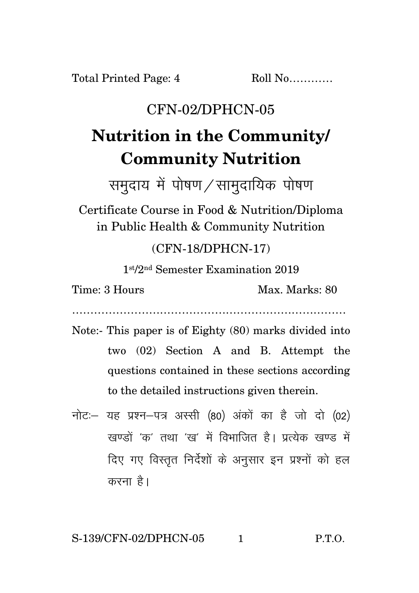Total Printed Page: 4 Roll No...........

## CFN-02/DPHCN-05

## **Nutrition in the Community/ Community Nutrition**

समुदाय में पोषण / सामुदायिक पोषण

Certificate Course in Food & Nutrition/Diploma in Public Health & Community Nutrition

(CFN-18/DPHCN-17)

1 st/2nd Semester Examination 2019

Time: 3 Hours Max. Marks: 80

…………………………………………………………………

- Note:- This paper is of Eighty (80) marks divided into two (02) Section A and B. Attempt the questions contained in these sections according to the detailed instructions given therein.
- नोट: यह प्रश्न-पत्र अस्सी (80) अंकों का है जो दो (02) खण्डों 'क' तथा 'ख' में विभाजित है। प्रत्येक खण्ड में दिए गए विस्तृत निर्देशों के अनुसार इन प्रश्नों को हल करना है।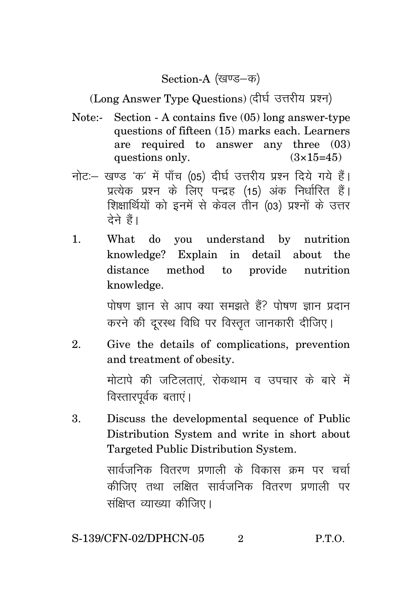Section-A (खण्ड-क)

(Long Answer Type Questions) (दीर्घ उत्तरीय प्रश्न)

- Note:- Section A contains five (05) long answer-type questions of fifteen (15) marks each. Learners are required to answer any three (03) questions only.  $(3\times15=45)$
- नोट: खण्ड 'क' में पाँच (05) दीर्घ उत्तरीय प्रश्न दिये गये हैं। प्रत्येक प्रश्न के लिए पन्द्रह (15) अंक निर्धारित हैं। शिक्षार्थियों को इनमें से केवल तीन (03) प्रश्नों के उत्तर तेने हैं।
- 1. What do you understand by nutrition knowledge? Explain in detail about the distance method to provide nutrition knowledge.

पोषण ज्ञान से आप क्या समझते हैं? पोषण ज्ञान प्रदान करने की दरस्थ विधि पर विस्तृत जानकारी दीजिए।

2. Give the details of complications, prevention and treatment of obesity.

मोटापे की जटिलताएं. रोकथाम व उपचार के बारे में विस्तारपर्वक बताएं ।

3. Discuss the developmental sequence of Public Distribution System and write in short about Targeted Public Distribution System.

> सार्वजनिक वितरण प्रणाली के विकास कम पर चर्चा कीजिए तथा लक्षित सार्वजनिक वितरण प्रणाली पर संक्षिप्त व्याख्या कीजिए।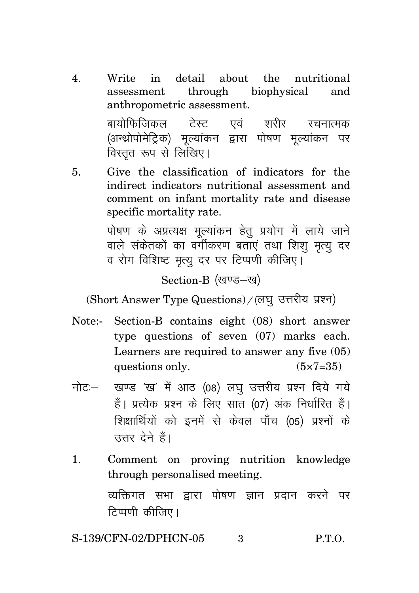4. Write in detail about the nutritional assessment through biophysical and anthropometric assessment.

> बायोफिजिकल टेस्ट एवं शरीर रचनात्मक (अन्थ्रोपोमेट्रिक) मूल्यांकन द्वारा पोषण मूल्यांकन पर विस्तृत रूप से लिखिए।

5. Give the classification of indicators for the indirect indicators nutritional assessment and comment on infant mortality rate and disease specific mortality rate.

> पोषण के अप्रत्यक्ष मुल्यांकन हेतू प्रयोग में लाये जाने <u>वाले संकेतकों का वर्गीकरण बताएं तथा शिश मत्य दर</u> व रोग विशिष्ट मृत्यू दर पर टिप्पणी कीजिए।

> > Section-B (खण्ड-ख)

(Short Answer Type Questions) / (लघु उत्तरीय प्रश्न)

- Note:- Section-B contains eight (08) short answer type questions of seven (07) marks each. Learners are required to answer any five (05) questions only.  $(5 \times 7 = 35)$
- नोट: खण्ड 'ख' में आठ (08) लघु उत्तरीय प्रश्न दिये गये हैं। प्रत्येक प्रश्न के लिए सात (07) अंक निर्धारित हैं। शिक्षार्थियों को इनमें से केवल पाँच (05) प्रश्नों के उत्तर देने हैं।
- 1. Comment on proving nutrition knowledge through personalised meeting.

व्यक्तिगत सभा द्वारा पोषण ज्ञान प्रदान करने पर टिप्पणी कीजिए।

S-139/CFN-02/DPHCN-05 3 P.T.O.